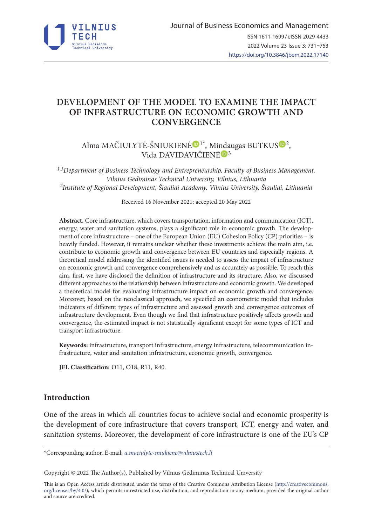

# **DEVELOPMENT OF THE MODEL TO EXAMINE THE IMPACT OF INFRASTRUCTURE ON ECONOMIC GROWTH AND CONVERGENCE**

Alma MAČIULYT[Ė](https://orcid.org/0000-0001-6661-7407)-ŠNIUKIENĖ<sup>®1\*</sup>, Mi[nda](https://orcid.org/0000-0002-0931-0967)ugas BUTKU[S](https://orcid.org/0000-0003-2381-5440)<sup>®2</sup>, Vida DAVIDAVIČIENĖ<sup>®3</sup>

*1,3Department of Business Technology and Entrepreneurship, Faculty of Business Management, Vilnius Gediminas Technical University, Vilnius, Lithuania 2Institute of Regional Development, Šiauliai Academy, Vilnius University, Šiauliai, Lithuania* 

Received 16 November 2021; accepted 20 May 2022

**Abstract.** Core infrastructure, which covers transportation, information and communication (ICT), energy, water and sanitation systems, plays a significant role in economic growth. The development of core infrastructure – one of the European Union (EU) Cohesion Policy (CP) priorities – is heavily funded. However, it remains unclear whether these investments achieve the main aim, i.e. contribute to economic growth and convergence between EU countries and especially regions. A theoretical model addressing the identified issues is needed to assess the impact of infrastructure on economic growth and convergence comprehensively and as accurately as possible. To reach this aim, first, we have disclosed the definition of infrastructure and its structure. Also, we discussed different approaches to the relationship between infrastructure and economic growth. We developed a theoretical model for evaluating infrastructure impact on economic growth and convergence. Moreover, based on the neoclassical approach, we specified an econometric model that includes indicators of different types of infrastructure and assessed growth and convergence outcomes of infrastructure development. Even though we find that infrastructure positively affects growth and convergence, the estimated impact is not statistically significant except for some types of ICT and transport infrastructure.

**Keywords:** infrastructure, transport infrastructure, energy infrastructure, telecommunication infrastructure, water and sanitation infrastructure, economic growth, convergence.

**JEL Classification:** O11, O18, R11, R40.

#### **Introduction**

One of the areas in which all countries focus to achieve social and economic prosperity is the development of core infrastructure that covers transport, ICT, energy and water, and sanitation systems. Moreover, the development of core infrastructure is one of the EU's CP

\*Corresponding author. E-mail: *[a.maciulyte-sniukiene@vilniustech.lt](mailto:a.maciulyte-sniukiene@vilniustech.lt)*

Copyright © 2022 The Author(s). Published by Vilnius Gediminas Technical University

This is an Open Access article distributed under the terms of the Creative Commons Attribution License ([http://creativecommons.](http://creativecommons.org/licenses/by/4.0/) [org/licenses/by/4.0/\)](http://creativecommons.org/licenses/by/4.0/), which permits unrestricted use, distribution, and reproduction in any medium, provided the original author and source are credited.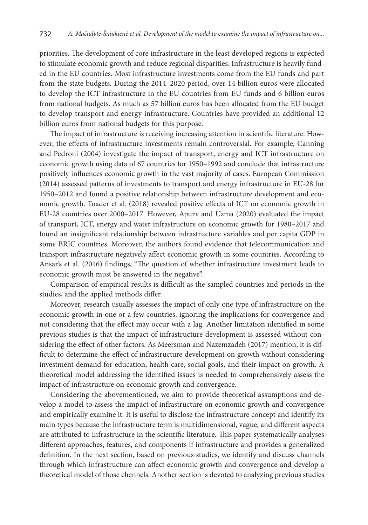priorities. The development of core infrastructure in the least developed regions is expected to stimulate economic growth and reduce regional disparities. Infrastructure is heavily funded in the EU countries. Most infrastructure investments come from the EU funds and part from the state budgets. During the 2014–2020 period, over 14 billion euros were allocated to develop the ICT infrastructure in the EU countries from EU funds and 6 billion euros from national budgets. As much as 57 billion euros has been allocated from the EU budget to develop transport and energy infrastructure. Countries have provided an additional 12 billion euros from national budgets for this purpose.

The impact of infrastructure is receiving increasing attention in scientific literature. However, the effects of infrastructure investments remain controversial. For example, Canning and Pedroni (2004) investigate the impact of transport, energy and ICT infrastructure on economic growth using data of 67 countries for 1950–1992 and conclude that infrastructure positively influences economic growth in the vast majority of cases. European Commission (2014) assessed patterns of investments to transport and energy infrastructure in EU-28 for 1950–2012 and found a positive relationship between infrastructure development and economic growth. Toader et al. (2018) revealed positive effects of ICT on economic growth in EU-28 countries over 2000–2017. However, Apurv and Uzma (2020) evaluated the impact of transport, ICT, energy and water infrastructure on economic growth for 1980–2017 and found an insignificant relationship between infrastructure variables and per capita GDP in some BRIC countries. Moreover, the authors found evidence that telecommunication and transport infrastructure negatively affect economic growth in some countries. According to Ansar's et al. (2016) findings, "The question of whether infrastructure investment leads to economic growth must be answered in the negative".

Comparison of empirical results is difficult as the sampled countries and periods in the studies, and the applied methods differ.

Moreover, research usually assesses the impact of only one type of infrastructure on the economic growth in one or a few countries, ignoring the implications for convergence and not considering that the effect may occur with a lag. Another limitation identified in some previous studies is that the impact of infrastructure development is assessed without considering the effect of other factors. As Meersman and Nazemzadeh (2017) mention, it is difficult to determine the effect of infrastructure development on growth without considering investment demand for education, health care, social goals, and their impact on growth. A theoretical model addressing the identified issues is needed to comprehensively assess the impact of infrastructure on economic growth and convergence.

Considering the abovementioned, we aim to provide theoretical assumptions and develop a model to assess the impact of infrastructure on economic growth and convergence and empirically examine it. It is useful to disclose the infrastructure concept and identify its main types because the infrastructure term is multidimensional, vague, and different aspects are attributed to infrastructure in the scientific literature. This paper systematically analyses different approaches, features, and components if infrastructure and provides a generalized definition. In the next section, based on previous studies, we identify and discuss channels through which infrastructure can affect economic growth and convergence and develop a theoretical model of those chennels. Another section is devoted to analyzing previous studies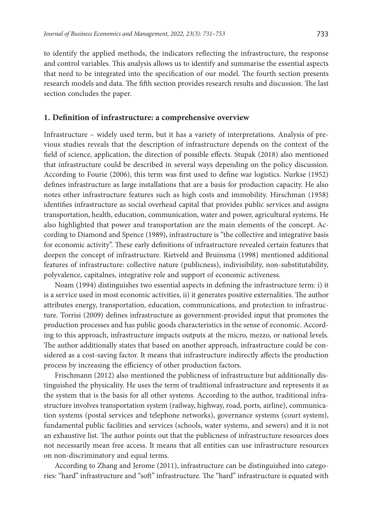to identify the applied methods, the indicators reflecting the infrastructure, the response and control variables. This analysis allows us to identify and summarise the essential aspects that need to be integrated into the specification of our model. The fourth section presents research models and data. The fifth section provides research results and discussion. The last section concludes the paper.

#### **1. Definition of infrastructure: a comprehensive overview**

Infrastructure – widely used term, but it has a variety of interpretations. Analysis of previous studies reveals that the description of infrastructure depends on the context of the field of science, application, the direction of possible effects. Stupak (2018) also mentioned that infrastructure could be described in several ways depending on the policy discussion. According to Fourie (2006), this term was first used to define war logistics. Nurkse (1952) defines infrastructure as large installations that are a basis for production capacity. He also notes other infrastructure features such as high costs and immobility. Hirschman (1958) identifies infrastructure as social overhead capital that provides public services and assigns transportation, health, education, communication, water and power, agricultural systems. He also highlighted that power and transportation are the main elements of the concept. According to Diamond and Spence (1989), infrastructure is "the collective and integrative basis for economic activity". These early definitions of infrastructure revealed certain features that deepen the concept of infrastructure. Rietveld and Bruinsma (1998) mentioned additional features of infrastructure: collective nature (publicness), indivisibility, non-substitutability, polyvalence, capitalnes, integrative role and support of economic activeness.

Noam (1994) distinguishes two essential aspects in defining the infrastructure term: i) it is a service used in most economic activities, ii) it generates positive externalities. The author attributes energy, transportation, education, communications, and protection to infrastructure. Torrisi (2009) defines infrastructure as government-provided input that promotes the production processes and has public goods characteristics in the sense of economic. According to this approach, infrastructure impacts outputs at the micro, mezzo, or national levels. The author additionally states that based on another approach, infrastructure could be considered as a cost-saving factor. It means that infrastructure indirectly affects the production process by increasing the efficiency of other production factors.

Frischmann (2012) also mentioned the publicness of infrastructure but additionally distinguished the physicality. He uses the term of traditional infrastructure and represents it as the system that is the basis for all other systems. According to the author, traditional infrastructure involves transportation system (railway, highway, road, ports, airline), communication systems (postal services and telephone networks), governance systems (court system), fundamental public facilities and services (schools, water systems, and sewers) and it is not an exhaustive list. The author points out that the publicness of infrastructure resources does not necessarily mean free access. It means that all entities can use infrastructure resources on non-discriminatory and equal terms.

According to Zhang and Jerome (2011), infrastructure can be distinguished into categories: "hard" infrastructure and "soft" infrastructure. The "hard" infrastructure is equated with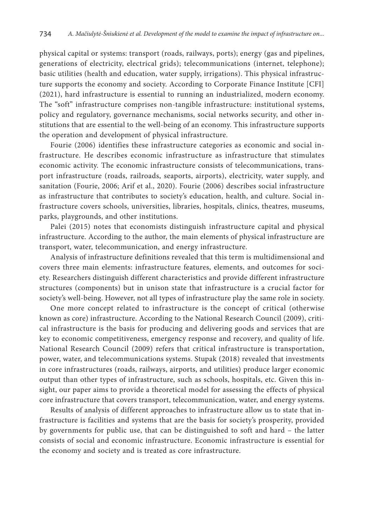physical capital or systems: transport (roads, railways, ports); energy (gas and pipelines, generations of electricity, electrical grids); telecommunications (internet, telephone); basic utilities (health and education, water supply, irrigations). This physical infrastructure supports the economy and society. According to Corporate Finance Institute [CFI] (2021), hard infrastructure is essential to running an industrialized, modern economy. The "soft" infrastructure comprises non-tangible infrastructure: institutional systems, policy and regulatory, governance mechanisms, social networks security, and other institutions that are essential to the well-being of an economy. This infrastructure supports the operation and development of physical infrastructure.

Fourie (2006) identifies these infrastructure categories as economic and social infrastructure. He describes economic infrastructure as infrastructure that stimulates economic activity. The economic infrastructure consists of telecommunications, transport infrastructure (roads, railroads, seaports, airports), electricity, water supply, and sanitation (Fourie, 2006; Arif et al., 2020). Fourie (2006) describes social infrastructure as infrastructure that contributes to society's education, health, and culture. Social infrastructure covers schools, universities, libraries, hospitals, clinics, theatres, museums, parks, playgrounds, and other institutions.

Palei (2015) notes that economists distinguish infrastructure capital and physical infrastructure. According to the author, the main elements of physical infrastructure are transport, water, telecommunication, and energy infrastructure.

Analysis of infrastructure definitions revealed that this term is multidimensional and covers three main elements: infrastructure features, elements, and outcomes for society. Researchers distinguish different characteristics and provide different infrastructure structures (components) but in unison state that infrastructure is a crucial factor for society's well-being. However, not all types of infrastructure play the same role in society.

One more concept related to infrastructure is the concept of critical (otherwise known as core) infrastructure. According to the National Research Council (2009), critical infrastructure is the basis for producing and delivering goods and services that are key to economic competitiveness, emergency response and recovery, and quality of life. National Research Council (2009) refers that critical infrastructure is transportation, power, water, and telecommunications systems. Stupak (2018) revealed that investments in core infrastructures (roads, railways, airports, and utilities) produce larger economic output than other types of infrastructure, such as schools, hospitals, etc. Given this insight, our paper aims to provide a theoretical model for assessing the effects of physical core infrastructure that covers transport, telecommunication, water, and energy systems.

Results of analysis of different approaches to infrastructure allow us to state that infrastructure is facilities and systems that are the basis for society's prosperity, provided by governments for public use, that can be distinguished to soft and hard – the latter consists of social and economic infrastructure. Economic infrastructure is essential for the economy and society and is treated as core infrastructure.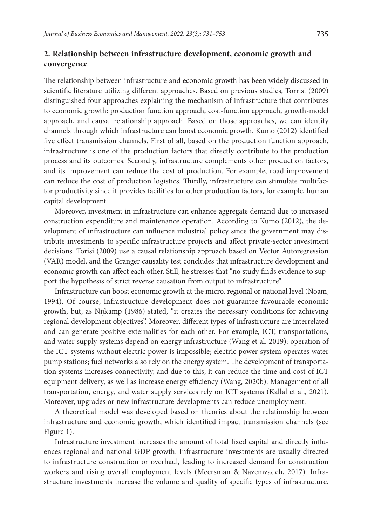## **2. Relationship between infrastructure development, economic growth and convergence**

The relationship between infrastructure and economic growth has been widely discussed in scientific literature utilizing different approaches. Based on previous studies, Torrisi (2009) distinguished four approaches explaining the mechanism of infrastructure that contributes to economic growth: production function approach, cost-function approach, growth-model approach, and causal relationship approach. Based on those approaches, we can identify channels through which infrastructure can boost economic growth. Kumo (2012) identified five effect transmission channels. First of all, based on the production function approach, infrastructure is one of the production factors that directly contribute to the production process and its outcomes. Secondly, infrastructure complements other production factors, and its improvement can reduce the cost of production. For example, road improvement can reduce the cost of production logistics. Thirdly, infrastructure can stimulate multifactor productivity since it provides facilities for other production factors, for example, human capital development.

Moreover, investment in infrastructure can enhance aggregate demand due to increased construction expenditure and maintenance operation. According to Kumo (2012), the development of infrastructure can influence industrial policy since the government may distribute investments to specific infrastructure projects and affect private-sector investment decisions. Torisi (2009) use a causal relationship approach based on Vector Autoregression (VAR) model, and the Granger causality test concludes that infrastructure development and economic growth can affect each other. Still, he stresses that "no study finds evidence to support the hypothesis of strict reverse causation from output to infrastructure".

Infrastructure can boost economic growth at the micro, regional or national level (Noam, 1994). Of course, infrastructure development does not guarantee favourable economic growth, but, as Nijkamp (1986) stated, "it creates the necessary conditions for achieving regional development objectives". Moreover, different types of infrastructure are interrelated and can generate positive externalities for each other. For example, ICT, transportations, and water supply systems depend on energy infrastructure (Wang et al. 2019): operation of the ICT systems without electric power is impossible; electric power system operates water pump stations; fuel networks also rely on the energy system. The development of transportation systems increases connectivity, and due to this, it can reduce the time and cost of ICT equipment delivery, as well as increase energy efficiency (Wang, 2020b). Management of all transportation, energy, and water supply services rely on ICT systems (Kallal et al., 2021). Moreover, upgrades or new infrastructure developments can reduce unemployment.

A theoretical model was developed based on theories about the relationship between infrastructure and economic growth, which identified impact transmission channels (see Figure 1).

Infrastructure investment increases the amount of total fixed capital and directly influences regional and national GDP growth. Infrastructure investments are usually directed to infrastructure construction or overhaul, leading to increased demand for construction workers and rising overall employment levels (Meersman & Nazemzadeh, 2017). Infrastructure investments increase the volume and quality of specific types of infrastructure.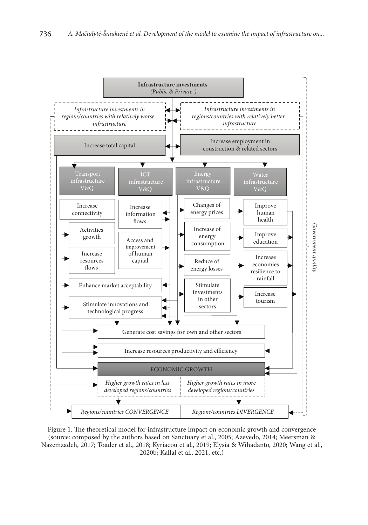

Figure 1. The theoretical model for infrastructure impact on economic growth and convergence (source: composed by the authors based on Sanctuary et al., 2005; Azevedo, 2014; Meersman & Nazemzadeh, 2017; Toader et al., 2018; Kyriacou et al., 2019; Elysia & Wihadanto, 2020; Wang et al., 2020b; Kallal et al., 2021, etc.)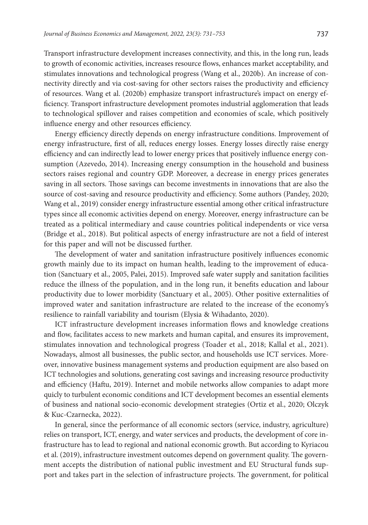Transport infrastructure development increases connectivity, and this, in the long run, leads to growth of economic activities, increases resource flows, enhances market acceptability, and stimulates innovations and technological progress (Wang et al., 2020b). An increase of connectivity directly and via cost-saving for other sectors raises the productivity and efficiency of resources. Wang et al. (2020b) emphasize transport infrastructure's impact on energy efficiency. Transport infrastructure development promotes industrial agglomeration that leads to technological spillover and raises competition and economies of scale, which positively influence energy and other resources efficiency.

Energy efficiency directly depends on energy infrastructure conditions. Improvement of energy infrastructure, first of all, reduces energy losses. Energy losses directly raise energy efficiency and can indirectly lead to lower energy prices that positively influence energy consumption (Azevedo, 2014). Increasing energy consumption in the household and business sectors raises regional and country GDP. Moreover, a decrease in energy prices generates saving in all sectors. Those savings can become investments in innovations that are also the source of cost-saving and resource productivity and efficiency. Some authors (Pandey, 2020; Wang et al., 2019) consider energy infrastructure essential among other critical infrastructure types since all economic activities depend on energy. Moreover, energy infrastructure can be treated as a political intermediary and cause countries political independents or vice versa (Bridge et al., 2018). But political aspects of energy infrastructure are not a field of interest for this paper and will not be discussed further.

The development of water and sanitation infrastructure positively influences economic growth mainly due to its impact on human health, leading to the improvement of education (Sanctuary et al., 2005, Palei, 2015). Improved safe water supply and sanitation facilities reduce the illness of the population, and in the long run, it benefits education and labour productivity due to lower morbidity (Sanctuary et al., 2005). Other positive externalities of improved water and sanitation infrastructure are related to the increase of the economy's resilience to rainfall variability and tourism (Elysia & Wihadanto, 2020).

ICT infrastructure development increases information flows and knowledge creations and flow, facilitates access to new markets and human capital, and ensures its improvement, stimulates innovation and technological progress (Toader et al., 2018; Kallal et al., 2021). Nowadays, almost all businesses, the public sector, and households use ICT services. Moreover, innovative business management systems and production equipment are also based on ICT technologies and solutions, generating cost savings and increasing resource productivity and efficiency (Haftu, 2019). Internet and mobile networks allow companies to adapt more quicly to turbulent economic conditions and ICT development becomes an essential elements of business and national socio-economic development strategies (Ortiz et al., 2020; Olczyk & Kuc-Czarnecka, 2022).

In general, since the performance of all economic sectors (service, industry, agriculture) relies on transport, ICT, energy, and water services and products, the development of core infrastructure has to lead to regional and national economic growth. But according to Kyriacou et al. (2019), infrastructure investment outcomes depend on government quality. The government accepts the distribution of national public investment and EU Structural funds support and takes part in the selection of infrastructure projects. The government, for political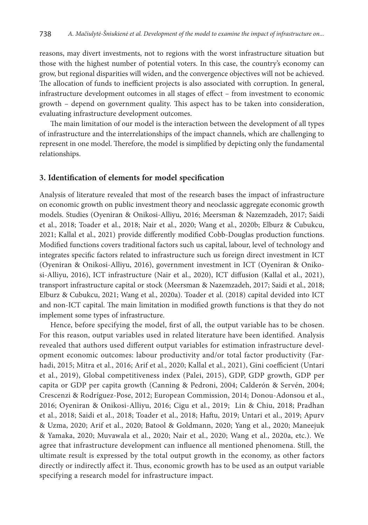reasons, may divert investments, not to regions with the worst infrastructure situation but those with the highest number of potential voters. In this case, the country's economy can grow, but regional disparities will widen, and the convergence objectives will not be achieved. The allocation of funds to inefficient projects is also associated with corruption. In general, infrastructure development outcomes in all stages of effect – from investment to economic growth – depend on government quality. This aspect has to be taken into consideration, evaluating infrastructure development outcomes.

The main limitation of our model is the interaction between the development of all types of infrastructure and the interrelationships of the impact channels, which are challenging to represent in one model. Therefore, the model is simplified by depicting only the fundamental relationships.

#### **3. Identification of elements for model specification**

Analysis of literature revealed that most of the research bases the impact of infrastructure on economic growth on public investment theory and neoclassic aggregate economic growth models. Studies (Oyeniran & Onikosi-Alliyu, 2016; Meersman & Nazemzadeh, 2017; Saidi et al., 2018; Toader et al., 2018; Nair et al., 2020; Wang et al., 2020b; Elburz & Cubukcu, 2021; Kallal et al., 2021) provide differently modified Cobb-Douglas production functions. Modified functions covers traditional factors such us capital, labour, level of technology and integrates specific factors related to infrastructure such us foreign direct investment in ICT (Oyeniran & Onikosi-Alliyu, 2016), government investment in ICT (Oyeniran & Onikosi-Alliyu, 2016), ICT infrastructure (Nair et al., 2020), ICT diffusion (Kallal et al., 2021), transport infrastructure capital or stock (Meersman & Nazemzadeh, 2017; Saidi et al., 2018; Elburz & Cubukcu, 2021; Wang et al., 2020a). Toader et al. (2018) capital devided into ICT and non-ICT capital. The main limitation in modified growth functions is that they do not implement some types of infrastructure.

Hence, before specifying the model, first of all, the output variable has to be chosen. For this reason, output variables used in related literature have been identified. Analysis revealed that authors used different output variables for estimation infrastructure development economic outcomes: labour productivity and/or total factor productivity (Farhadi, 2015; Mitra et al., 2016; Arif et al., 2020; Kallal et al., 2021), Gini coefficient (Untari et al., 2019), Global competitiveness index (Palei, 2015), GDP, GDP growth, GDP per capita or GDP per capita growth (Canning & Pedroni, 2004; Calderón & Servén, 2004; Crescenzi & Rodríguez-Pose, 2012; European Commission, 2014; Donou-Adonsou et al., 2016; Oyeniran & Onikosi-Alliyu, 2016; Cigu et al., 2019; Lin & Chiu, 2018; Pradhan et al., 2018; Saidi et al., 2018; Toader et al., 2018; Haftu, 2019; Untari et al., 2019; Apurv & Uzma, 2020; Arif et al., 2020; Batool & Goldmann, 2020; Yang et al., 2020; Maneejuk & Yamaka, 2020; Muvawala et al., 2020; Nair et al., 2020; Wang et al., 2020a, etc.). We agree that infrastructure development can influence all mentioned phenomena. Still, the ultimate result is expressed by the total output growth in the economy, as other factors directly or indirectly affect it. Thus, economic growth has to be used as an output variable specifying a research model for infrastructure impact.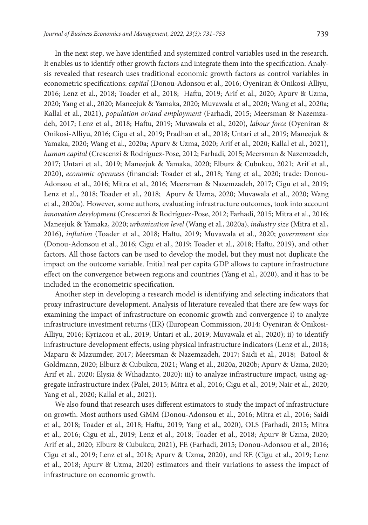In the next step, we have identified and systemized control variables used in the research. It enables us to identify other growth factors and integrate them into the specification. Analysis revealed that research uses traditional economic growth factors as control variables in econometric specifications: *capital* (Donou-Adonsou et al., 2016; Oyeniran & Onikosi-Alliyu, 2016; Lenz et al., 2018; Toader et al., 2018; Haftu, 2019; Arif et al., 2020; Apurv & Uzma, 2020; Yang et al., 2020; Maneejuk & Yamaka, 2020; Muvawala et al., 2020; Wang et al., 2020a; Kallal et al., 2021), *population or/and employment* (Farhadi, 2015; Meersman & Nazemzadeh, 2017; Lenz et al., 2018; Haftu, 2019; Muvawala et al., 2020), *labour force* (Oyeniran & Onikosi-Alliyu, 2016; Cigu et al., 2019; Pradhan et al., 2018; Untari et al., 2019; Maneejuk & Yamaka, 2020; Wang et al., 2020a; Apurv & Uzma, 2020; Arif et al., 2020; Kallal et al., 2021), *human capital* (Crescenzi & Rodríguez-Pose, 2012; Farhadi, 2015; Meersman & Nazemzadeh, 2017; Untari et al., 2019; Maneejuk & Yamaka, 2020; Elburz & Cubukcu, 2021; Arif et al., 2020), *economic openness* (financial: Toader et al., 2018; Yang et al., 2020; trade: Donou-Adonsou et al., 2016; Mitra et al., 2016; Meersman & Nazemzadeh, 2017; Cigu et al., 2019; Lenz et al., 2018; Toader et al., 2018; Apurv & Uzma, 2020; Muvawala et al., 2020; Wang et al., 2020a). However, some authors, evaluating infrastructure outcomes, took into account *innovation development* (Crescenzi & Rodríguez-Pose, 2012; Farhadi, 2015; Mitra et al., 2016; Maneejuk & Yamaka, 2020; *urbanization level* (Wang et al., 2020a), *industry size* (Mitra et al., 2016), *inflation* (Toader et al., 2018; Haftu, 2019; Muvawala et al., 2020; *government size* (Donou-Adonsou et al., 2016; Cigu et al., 2019; Toader et al., 2018; Haftu, 2019), and other factors. All those factors can be used to develop the model, but they must not duplicate the impact on the outcome variable. Initial real per capita GDP allows to capture infrastructure effect on the convergence between regions and countries (Yang et al., 2020), and it has to be included in the econometric specification.

Another step in developing a research model is identifying and selecting indicators that proxy infrastructure development. Analysis of literature revealed that there are few ways for examining the impact of infrastructure on economic growth and convergence i) to analyze infrastructure investment returns (IIR) (European Commission, 2014; Oyeniran & Onikosi-Alliyu, 2016; Kyriacou et al., 2019; Untari et al., 2019; Muvawala et al., 2020); ii) to identify infrastructure development effects, using physical infrastructure indicators (Lenz et al., 2018; Maparu & Mazumder, 2017; Meersman & Nazemzadeh, 2017; Saidi et al., 2018; Batool & Goldmann, 2020; Elburz & Cubukcu, 2021; Wang et al., 2020a, 2020b; Apurv & Uzma, 2020; Arif et al., 2020; Elysia & Wihadanto, 2020); iii) to analyze infrastructure impact, using aggregate infrastructure index (Palei, 2015; Mitra et al., 2016; Cigu et al., 2019; Nair et al., 2020; Yang et al., 2020; Kallal et al., 2021).

We also found that research uses different estimators to study the impact of infrastructure on growth. Most authors used GMM (Donou-Adonsou et al., 2016; Mitra et al., 2016; Saidi et al., 2018; Toader et al., 2018; Haftu, 2019; Yang et al., 2020), OLS (Farhadi, 2015; Mitra et al., 2016; Cigu et al., 2019; Lenz et al., 2018; Toader et al., 2018; Apurv & Uzma, 2020; Arif et al., 2020; Elburz & Cubukcu, 2021), FE (Farhadi, 2015; Donou-Adonsou et al., 2016; Cigu et al., 2019; Lenz et al., 2018; Apurv & Uzma, 2020), and RE (Cigu et al., 2019; Lenz et al., 2018; Apurv & Uzma, 2020) estimators and their variations to assess the impact of infrastructure on economic growth.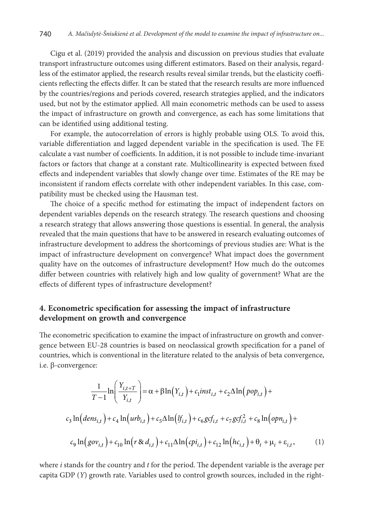Cigu et al. (2019) provided the analysis and discussion on previous studies that evaluate transport infrastructure outcomes using different estimators. Based on their analysis, regardless of the estimator applied, the research results reveal similar trends, but the elasticity coefficients reflecting the effects differ. It can be stated that the research results are more influenced by the countries/regions and periods covered, research strategies applied, and the indicators used, but not by the estimator applied. All main econometric methods can be used to assess the impact of infrastructure on growth and convergence, as each has some limitations that can be identified using additional testing.

For example, the autocorrelation of errors is highly probable using OLS. To avoid this, variable differentiation and lagged dependent variable in the specification is used. The FE calculate a vast number of coefficients. In addition, it is not possible to include time-invariant factors or factors that change at a constant rate. Multicollinearity is expected between fixed effects and independent variables that slowly change over time. Estimates of the RE may be inconsistent if random effects correlate with other independent variables. In this case, compatibility must be checked using the Hausman test.

The choice of a specific method for estimating the impact of independent factors on dependent variables depends on the research strategy. The research questions and choosing a research strategy that allows answering those questions is essential. In general, the analysis revealed that the main questions that have to be answered in research evaluating outcomes of infrastructure development to address the shortcomings of previous studies are: What is the impact of infrastructure development on convergence? What impact does the government quality have on the outcomes of infrastructure development? How much do the outcomes differ between countries with relatively high and low quality of government? What are the effects of different types of infrastructure development?

## **4. Econometric specification for assessing the impact of infrastructure development on growth and convergence**

The econometric specification to examine the impact of infrastructure on growth and convergence between EU-28 countries is based on neoclassical growth specification for a panel of countries, which is conventional in the literature related to the analysis of beta convergence, i.e. β-convergence:

$$
\frac{1}{T-1}\ln\left(\frac{Y_{i,t+T}}{Y_{i,t}}\right) = \alpha + \beta \ln(Y_{i,t}) + c_1 inst_{i,t} + c_2 \Delta \ln(pop_{i,t}) + c_3 \ln(dens_{i,t}) + c_4 \ln(urb_{i,t}) + c_5 \Delta \ln(tf_{i,t}) + c_6 gcf_{i,t} + c_7 gcf_{i,t}^2 + c_8 \ln(opn_{i,t}) + c_9 \ln(gov_{i,t}) + c_{10} \ln(r \otimes d_{i,t}) + c_{11} \Delta \ln(cpi_{i,t}) + c_{12} \ln(hc_{i,t}) + \theta_t + \mu_i + \varepsilon_{i,t},
$$
\n(1)

where *i* stands for the country and *t* for the period. The dependent variable is the average per capita GDP (*Y*) growth rate. Variables used to control growth sources, included in the right-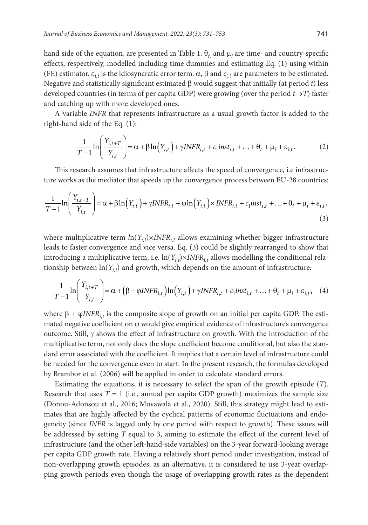hand side of the equation, are presented in Table 1.  $\theta_{t_i}$  and  $\mu_i$  are time- and country-specific effects, respectively, modelled including time dummies and estimating Eq. (1) using within (FE) estimator.  $\varepsilon_{i,t}$  is the idiosyncratic error term.  $\alpha$ ,  $\beta$  and  $c_{(.)}$  are parameters to be estimated. Negative and statistically significant estimated β would suggest that initially (at period *t*) less developed countries (in terms of per capita GDP) were growing (over the period  $t \rightarrow T$ ) faster and catching up with more developed ones.

A variable *INFR* that represents infrastructure as a usual growth factor is added to the right-hand side of the Eq. (1):

$$
\frac{1}{T-1}\ln\left(\frac{Y_{i,t+T}}{Y_{i,t}}\right) = \alpha + \beta \ln(Y_{i,t}) + \gamma INFR_{i,t} + c_1 inst_{i,t} + \dots + \theta_t + \mu_i + \varepsilon_{i,t}.
$$
 (2)

This research assumes that infrastructure affects the speed of convergence, i.e infrastructure works as the mediator that speeds up the convergence process between EU-28 countries:

$$
\frac{1}{T-1}\ln\left(\frac{Y_{i,t+T}}{Y_{i,t}}\right) = \alpha + \beta \ln(Y_{i,t}) + \gamma INFR_{i,t} + \varphi \ln(Y_{i,t}) \times INFR_{i,t} + c_1 inst_{i,t} + \dots + \theta_t + \mu_i + \varepsilon_{i,t},
$$
\n(3)

where multiplicative term  $ln(Y_{i,t}) \times INFR_{i,t}$  allows examining whether bigger infrastructure leads to faster convergence and vice versa. Eq. (3) could be slightly rearranged to show that introducing a multiplicative term, i.e.  $\ln(Y_{i,t}) \times INFR_{i,t}$  allows modelling the conditional relationship between  $ln(Y_{i,t})$  and growth, which depends on the amount of infrastructure:

$$
\frac{1}{T-1}\ln\left(\frac{Y_{i,t+T}}{Y_{i,t}}\right) = \alpha + \left(\beta + \varphi INFR_{i,t}\right)\ln\left(Y_{i,t}\right) + \gamma INFR_{i,t} + c_1 inst_{i,t} + \dots + \theta_t + \mu_i + \varepsilon_{i,t}, \quad (4)
$$

where β *+* φ*INFRi,t* is the composite slope of growth on an initial per capita GDP. The estimated negative coefficient on  $\varphi$  would give empirical evidence of infrastructure's convergence outcome. Still,  $γ$  shows the effect of infrastructure on growth. With the introduction of the multiplicative term, not only does the slope coefficient become conditional, but also the standard error associated with the coefficient. It implies that a certain level of infrastructure could be needed for the convergence even to start. In the present research, the formulas developed by Brambor et al. (2006) will be applied in order to calculate standard errors.

Estimating the equations, it is necessary to select the span of the growth episode (*T*). Research that uses  $T = 1$  (i.e., annual per capita GDP growth) maximizes the sample size (Donou-Adonsou et al., 2016; Muvawala et al., 2020). Still, this strategy might lead to estimates that are highly affected by the cyclical patterns of economic fluctuations and endogeneity (since *INFR* is lagged only by one period with respect to growth). These issues will be addressed by setting *T* equal to 3, aiming to estimate the effect of the current level of infrastructure (and the other left-hand-side variables) on the 3-year forward-looking average per capita GDP growth rate. Having a relatively short period under investigation, instead of non-overlapping growth episodes, as an alternative, it is considered to use 3-year overlapping growth periods even though the usage of overlapping growth rates as the dependent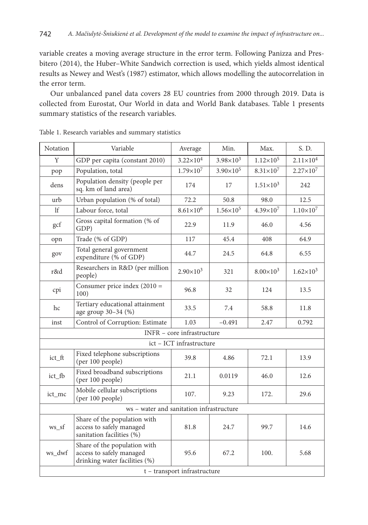variable creates a moving average structure in the error term. Following Panizza and Presbitero (2014), the Huber–White Sandwich correction is used, which yields almost identical results as Newey and West's (1987) estimator, which allows modelling the autocorrelation in the error term.

Our unbalanced panel data covers 28 EU countries from 2000 through 2019. Data is collected from Eurostat, Our World in data and World Bank databases. Table 1 presents summary statistics of the research variables.

| <b>Notation</b> | Variable                                                                                  | Average                      | Min.                 | Max.               | S. D.                |
|-----------------|-------------------------------------------------------------------------------------------|------------------------------|----------------------|--------------------|----------------------|
| Y               | GDP per capita (constant 2010)                                                            | $3.22 \times 10^{4}$         | $3.98 \times 10^3$   | $1.12\times10^{5}$ | $2.11 \times 10^{4}$ |
| pop             | Population, total                                                                         | $1.79\times10^{7}$           | $3.90\times10^{5}$   | $8.31\times10^{7}$ | $2.27\times10^{7}$   |
| dens            | Population density (people per<br>sq. km of land area)                                    | 174                          | 17                   | $1.51\times10^{3}$ | 242                  |
| urb             | Urban population (% of total)                                                             | 72.2                         | 50.8                 | 98.0               | 12.5                 |
| 1 <sup>f</sup>  | Labour force, total                                                                       | $8.61\times10^{6}$           | $1.56 \times 10^{5}$ | $4.39\times10^{7}$ | $1.10\times10^{7}$   |
| gcf             | Gross capital formation (% of<br>GDP)                                                     | 22.9                         | 11.9                 | 46.0               | 4.56                 |
| opn             | Trade (% of GDP)                                                                          | 117                          | 45.4                 | 408                | 64.9                 |
| gov             | Total general government<br>expenditure (% of GDP)                                        | 44.7                         | 24.5                 | 64.8               | 6.55                 |
| r&d             | Researchers in R&D (per million<br>people)                                                | $2.90\times10^{3}$           | 321                  | $8.00\times10^{3}$ | $1.62\times10^{3}$   |
| cpi             | Consumer price index $(2010 =$<br>100)                                                    | 96.8                         | 32                   | 124                | 13.5                 |
| hc              | Tertiary educational attainment<br>age group 30-34 (%)                                    | 33.5                         | 7.4                  | 58.8               | 11.8                 |
| inst            | Control of Corruption: Estimate                                                           | 1.03                         | $-0.491$             | 2.47               | 0.792                |
|                 |                                                                                           | INFR - core infrastructure   |                      |                    |                      |
|                 |                                                                                           | ict - ICT infrastructure     |                      |                    |                      |
| ict_ft          | Fixed telephone subscriptions<br>(per 100 people)                                         | 39.8                         | 4.86                 | 72.1               | 13.9                 |
| ict_fb          | Fixed broadband subscriptions<br>(per 100 people)                                         | 21.1                         | 0.0119               | 46.0               | 12.6                 |
| ict_mc          | Mobile cellular subscriptions<br>(per 100 people)                                         | 107.                         | 9.23                 | 172.               | 29.6                 |
|                 | ws - water and sanitation infrastructure                                                  |                              |                      |                    |                      |
| ws sf           | Share of the population with<br>access to safely managed<br>sanitation facilities $(\% )$ | 81.8                         | 24.7                 | 99.7               | 14.6                 |
| ws_dwf          | Share of the population with<br>access to safely managed<br>drinking water facilities (%) | 95.6                         | 67.2                 | 100.               | 5.68                 |
|                 |                                                                                           | t - transport infrastructure |                      |                    |                      |

| Table 1. Research variables and summary statistics |  |
|----------------------------------------------------|--|
|----------------------------------------------------|--|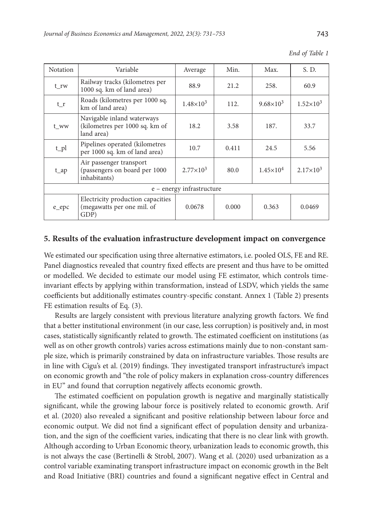|      | End of Table 1 |
|------|----------------|
| Max. |                |

| Notation                       | Variable                                                                   | Average                   | Min.  | Max.               | S. D.              |
|--------------------------------|----------------------------------------------------------------------------|---------------------------|-------|--------------------|--------------------|
| t_rw                           | Railway tracks (kilometres per<br>1000 sq. km of land area)                | 88.9                      | 21.2  | 258.               | 60.9               |
| $t_r$                          | Roads (kilometres per 1000 sq.<br>km of land area)                         | $1.48\times10^{3}$        | 112.  | $9.68 \times 10^3$ | $1.52\times10^{3}$ |
| t_ww                           | Navigable inland waterways<br>(kilometres per 1000 sq. km of<br>land area) | 18.2                      | 3.58  | 187.               | 33.7               |
| $t$ <sub>-pl</sub>             | Pipelines operated (kilometres<br>per 1000 sq. km of land area)            | 10.7                      | 0.411 | 24.5               | 5.56               |
| $t$ <sub><math>ap</math></sub> | Air passenger transport<br>(passengers on board per 1000<br>inhabitants)   | $2.77 \times 10^3$        | 80.0  | $1.45\times10^{4}$ | $2.17\times10^{3}$ |
|                                |                                                                            | e - energy infrastructure |       |                    |                    |
| e_epc                          | Electricity production capacities<br>(megawatts per one mil. of<br>GDP)    | 0.0678                    | 0.000 | 0.363              | 0.0469             |

#### **5. Results of the evaluation infrastructure development impact on convergence**

We estimated our specification using three alternative estimators, i.e. pooled OLS, FE and RE. Panel diagnostics revealed that country fixed effects are present and thus have to be omitted or modelled. We decided to estimate our model using FE estimator, which controls timeinvariant effects by applying within transformation, instead of LSDV, which yields the same coefficients but additionally estimates country-specific constant. Annex 1 (Table 2) presents FE estimation results of Eq. (3).

Results are largely consistent with previous literature analyzing growth factors. We find that a better institutional environment (in our case, less corruption) is positively and, in most cases, statistically significantly related to growth. The estimated coefficient on institutions (as well as on other growth controls) varies across estimations mainly due to non-constant sample size, which is primarily constrained by data on infrastructure variables. Those results are in line with Cigu's et al. (2019) findings. They investigated transport infrastructure's impact on economic growth and "the role of policy makers in explanation cross-country differences in EU" and found that corruption negatively affects economic growth.

The estimated coefficient on population growth is negative and marginally statistically significant, while the growing labour force is positively related to economic growth. Arif et al. (2020) also revealed a significant and positive relationship between labour force and economic output. We did not find a significant effect of population density and urbanization, and the sign of the coefficient varies, indicating that there is no clear link with growth. Although according to Urban Economic theory, urbanization leads to economic growth, this is not always the case (Bertinelli & Strobl, 2007). Wang et al. (2020) used urbanization as a control variable examinating transport infrastructure impact on economic growth in the Belt and Road Initiative (BRI) countries and found a significant negative effect in Central and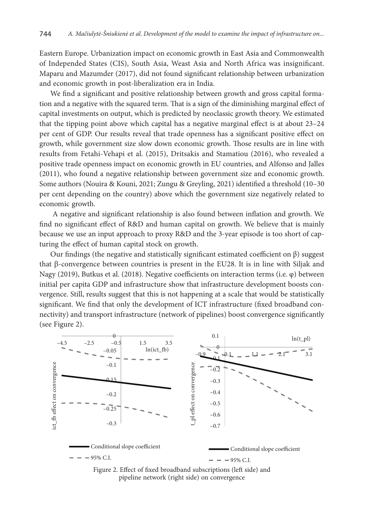Eastern Europe. Urbanization impact on economic growth in East Asia and Commonwealth of Independed States (CIS), South Asia, Weast Asia and North Africa was insignificant. Maparu and Mazumder (2017), did not found significant relationship between urbanization and economic growth in post-liberalization era in India.

We find a significant and positive relationship between growth and gross capital formation and a negative with the squared term. That is a sign of the diminishing marginal effect of capital investments on output, which is predicted by neoclassic growth theory. We estimated that the tipping point above which capital has a negative marginal effect is at about 23–24 per cent of GDP. Our results reveal that trade openness has a significant positive effect on growth, while government size slow down economic growth. Those results are in line with results from Fetahi-Vehapi et al. (2015), Dritsakis and Stamatiou (2016), who revealed a positive trade openness impact on economic growth in EU countries, and Alfonso and Jalles (2011), who found a negative relationship between government size and economic growth. Some authors (Nouira & Kouni, 2021; Zungu & Greyling, 2021) identified a threshold (10–30 per cent depending on the country) above which the government size negatively related to economic growth.

 A negative and significant relationship is also found between inflation and growth. We find no significant effect of R&D and human capital on growth. We believe that is mainly because we use an input approach to proxy R&D and the 3-year episode is too short of capturing the effect of human capital stock on growth.

Our findings (the negative and statistically significant estimated coefficient on β) suggest that β-convergence between countries is present in the EU28. It is in line with Siljak and Nagy (2019), Butkus et al. (2018). Negative coefficients on interaction terms (i.e. φ) between initial per capita GDP and infrastructure show that infrastructure development boosts convergence. Still, results suggest that this is not happening at a scale that would be statistically significant. We find that only the development of ICT infrastructure (fixed broadband connectivity) and transport infrastructure (network of pipelines) boost convergence significantly (see Figure 2).



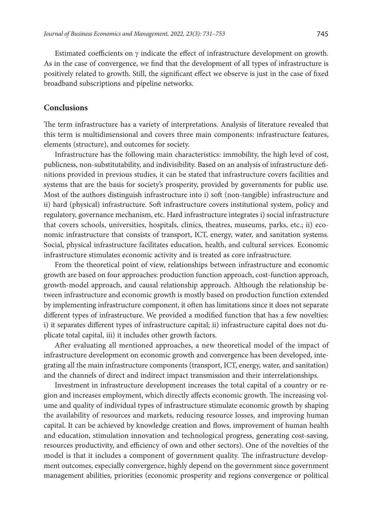Estimated coefficients on  $\gamma$  indicate the effect of infrastructure development on growth. As in the case of convergence, we find that the development of all types of infrastructure is positively related to growth. Still, the significant effect we observe is just in the case of fixed broadband subscriptions and pipeline networks.

#### **Conclusions**

The term infrastructure has a variety of interpretations. Analysis of literature revealed that this term is multidimensional and covers three main components: infrastructure features, elements (structure), and outcomes for society.

Infrastructure has the following main characteristics: immobility, the high level of cost, publicness, non-substitutability, and indivisibility. Based on an analysis of infrastructure definitions provided in previous studies, it can be stated that infrastructure covers facilities and systems that are the basis for society's prosperity, provided by governments for public use. Most of the authors distinguish infrastructure into i) soft (non-tangible) infrastructure and ii) hard (physical) infrastructure. Soft infrastructure covers institutional system, policy and regulatory, governance mechanism, etc. Hard infrastructure integrates i) social infrastructure that covers schools, universities, hospitals, clinics, theatres, museums, parks, etc.; ii) economic infrastructure that consists of transport, ICT, energy, water, and sanitation systems. Social, physical infrastructure facilitates education, health, and cultural services. Economic infrastructure stimulates economic activity and is treated as core infrastructure.

From the theoretical point of view, relationships between infrastructure and economic growth are based on four approaches: production function approach, cost-function approach, growth-model approach, and causal relationship approach. Although the relationship between infrastructure and economic growth is mostly based on production function extended by implementing infrastructure component, it often has limitations since it does not separate different types of infrastructure. We provided a modified function that has a few novelties: i) it separates different types of infrastructure capital; ii) infrastructure capital does not duplicate total capital, iii) it includes other growth factors.

After evaluating all mentioned approaches, a new theoretical model of the impact of infrastructure development on economic growth and convergence has been developed, integrating all the main infrastructure components (transport, ICT, energy, water, and sanitation) and the channels of direct and indirect impact transmission and their interrelationships.

Investment in infrastructure development increases the total capital of a country or region and increases employment, which directly affects economic growth. The increasing volume and quality of individual types of infrastructure stimulate economic growth by shaping the availability of resources and markets, reducing resource losses, and improving human capital. It can be achieved by knowledge creation and flows, improvement of human health and education, stimulation innovation and technological progress, generating cost-saving, resources productivity, and efficiency of own and other sectors). One of the novelties of the model is that it includes a component of government quality. The infrastructure development outcomes, especially convergence, highly depend on the government since government management abilities, priorities (economic prosperity and regions convergence or political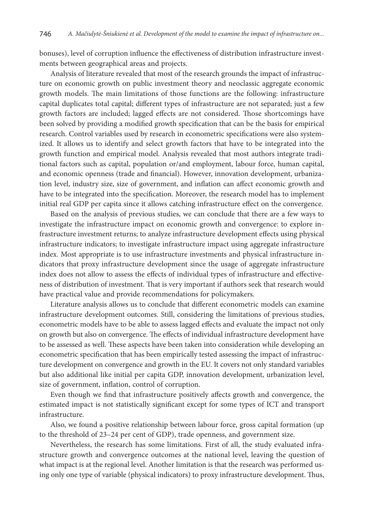bonuses), level of corruption influence the effectiveness of distribution infrastructure investments between geographical areas and projects.

Analysis of literature revealed that most of the research grounds the impact of infrastructure on economic growth on public investment theory and neoclassic aggregate economic growth models. The main limitations of those functions are the following: infrastructure capital duplicates total capital; different types of infrastructure are not separated; just a few growth factors are included; lagged effects are not considered. Those shortcomings have been solved by providing a modified growth specification that can be the basis for empirical research. Control variables used by research in econometric specifications were also systemized. It allows us to identify and select growth factors that have to be integrated into the growth function and empirical model. Analysis revealed that most authors integrate traditional factors such as capital, population or/and employment, labour force, human capital, and economic openness (trade and financial). However, innovation development, urbanization level, industry size, size of government, and inflation can affect economic growth and have to be integrated into the specification. Moreover, the research model has to implement initial real GDP per capita since it allows catching infrastructure effect on the convergence.

Based on the analysis of previous studies, we can conclude that there are a few ways to investigate the infrastructure impact on economic growth and convergence: to explore infrastructure investment returns; to analyze infrastructure development effects using physical infrastructure indicators; to investigate infrastructure impact using aggregate infrastructure index. Most appropriate is to use infrastructure investments and physical infrastructure indicators that proxy infrastructure development since the usage of aggregate infrastructure index does not allow to assess the effects of individual types of infrastructure and effectiveness of distribution of investment. That is very important if authors seek that research would have practical value and provide recommendations for policymakers.

Literature analysis allows us to conclude that different econometric models can examine infrastructure development outcomes. Still, considering the limitations of previous studies, econometric models have to be able to assess lagged effects and evaluate the impact not only on growth but also on convergence. The effects of individual infrastructure development have to be assessed as well. These aspects have been taken into consideration while developing an econometric specification that has been empirically tested assessing the impact of infrastructure development on convergence and growth in the EU. It covers not only standard variables but also additional like initial per capita GDP, innovation development, urbanization level, size of government, inflation, control of corruption.

Even though we find that infrastructure positively affects growth and convergence, the estimated impact is not statistically significant except for some types of ICT and transport infrastructure.

Also, we found a positive relationship between labour force, gross capital formation (up to the threshold of 23–24 per cent of GDP), trade openness, and government size.

Nevertheless, the research has some limitations. First of all, the study evaluated infrastructure growth and convergence outcomes at the national level, leaving the question of what impact is at the regional level. Another limitation is that the research was performed using only one type of variable (physical indicators) to proxy infrastructure development. Thus,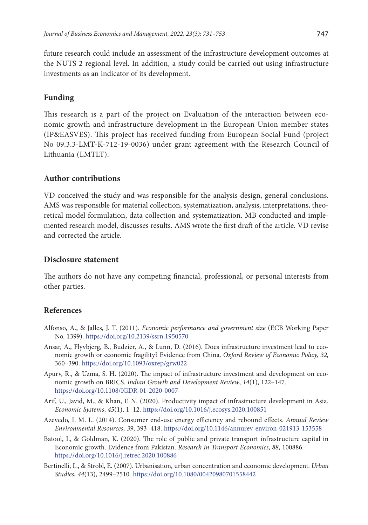future research could include an assessment of the infrastructure development outcomes at the NUTS 2 regional level. In addition, a study could be carried out using infrastructure investments as an indicator of its development.

### **Funding**

This research is a part of the project on Evaluation of the interaction between economic growth and infrastructure development in the European Union member states (IP&EASVES). This project has received funding from European Social Fund (project No 09.3.3-LMT-K-712-19-0036) under grant agreement with the Research Council of Lithuania (LMTLT).

#### **Author contributions**

VD conceived the study and was responsible for the analysis design, general conclusions. AMS was responsible for material collection, systematization, analysis, interpretations, theoretical model formulation, data collection and systematization. MB conducted and implemented research model, discusses results. AMS wrote the first draft of the article. VD revise and corrected the article.

#### **Disclosure statement**

The authors do not have any competing financial, professional, or personal interests from other parties.

## **References**

- Alfonso, A., & Jalles, J. T. (2011). *Economic performance and government size* (ECB Working Paper No. 1399). <https://doi.org/10.2139/ssrn.1950570>
- Ansar, A., Flyvbjerg, B., Budzier, A., & Lunn, D. (2016). Does infrastructure investment lead to economic growth or economic fragility? Evidence from China. *Oxford Review of Economic Policy, 32*, 360–390. <https://doi.org/10.1093/oxrep/grw022>
- Apurv, R., & Uzma, S. H. (2020). The impact of infrastructure investment and development on economic growth on BRICS. *Indian Growth and Development Review*, *14*(1), 122–147. <https://doi.org/10.1108/IGDR-01-2020-0007>
- Arif, U., Javid, M., & Khan, F. N. (2020). Productivity impact of infrastructure development in Asia. *Economic Systems*, *45*(1), 1–12. <https://doi.org/10.1016/j.ecosys.2020.100851>
- Azevedo, I. M. L. (2014). Consumer end-use energy efficiency and rebound effects. *Annual Review Environmental Resources*, *39*, 393–418. <https://doi.org/10.1146/annurev-environ-021913-153558>
- Batool, I., & Goldman, K. (2020). The role of public and private transport infrastructure capital in Economic growth. Evidence from Pakistan. *Research in Transport Economics*, *88*, 100886. <https://doi.org/10.1016/j.retrec.2020.100886>
- Bertinelli, L., & Strobl, E. (2007). Urbanisation, urban concentration and economic development. *Urban Studies*, *44*(13), 2499–2510. <https://doi.org/10.1080/00420980701558442>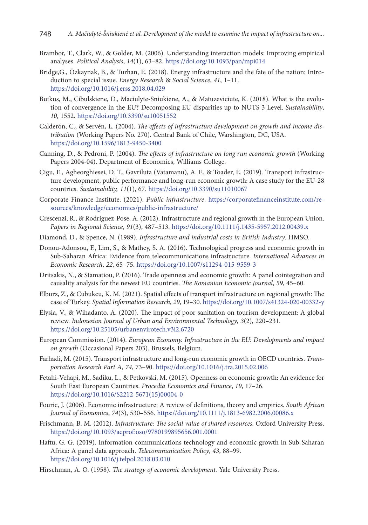- Brambor, T., Clark, W., & Golder, M. (2006). Understanding interaction models: Improving empirical analyses. *Political Analysis*, *14*(1), 63–82. <https://doi.org/10.1093/pan/mpi014>
- Bridge,G., Özkaynak, B., & Turhan, E. (2018). Energy infrastructure and the fate of the nation: Introduction to special issue. *Energy Research* & *Social Science*, *41*, 1–11. <https://doi.org/10.1016/j.erss.2018.04.029>
- Butkus, M., Cibulskiene, D., Maciulyte-Sniukiene, A., & Matuzeviciute, K. (2018). What is the evolution of convergence in the EU? Decomposing EU disparities up to NUTS 3 Level. *Sustainability*, *10*, 1552. <https://doi.org/10.3390/su10051552>
- Calderón, C., & Servén, L. (2004). *The effects of infrastructure development on growth and income distribution* (Working Papers No. 270). Central Bank of Chile, Warshington, DC, USA. <https://doi.org/10.1596/1813-9450-3400>
- Canning, D., & Pedroni, P. (2004). *The effects of infrastructure on long run economic growth* (Working Papers 2004-04). Department of Economics, Williams College.
- Cigu, E., Agheorghiesei, D. T., Gavriluta (Vatamanu), A. F., & Toader, E. (2019). Transport infrastructure development, public performance and long-run economic growth: A case study for the EU-28 countries. *Sustainability, 11*(1), 67. <https://doi.org/10.3390/su11010067>
- Corporate Finance Institute. (2021). *Public infrastructure*. [https://corporatefinanceinstitute.com/re](https://corporatefinanceinstitute.com/resources/knowledge/economics/public-infrastructure/)[sources/knowledge/economics/public-infrastructure/](https://corporatefinanceinstitute.com/resources/knowledge/economics/public-infrastructure/)
- Crescenzi, R., & Rodríguez-Pose, A. (2012). Infrastructure and regional growth in the European Union. *Papers in Regional Science*, *91*(3), 487–513. <https://doi.org/10.1111/j.1435-5957.2012.00439.x>
- Diamond, D., & Spence, N. (1989). *Infrastructure and industrial costs in British Industry*. HMSO.
- Donou-Adonsou, F., Lim, S., & Mathey, S. A. (2016). Technological progress and economic growth in Sub-Saharan Africa: Evidence from telecommunications infrastructure. *International Advances in Economic Research*, *22*, 65–75. <https://doi.org/10.1007/s11294-015-9559-3>
- Dritsakis, N., & Stamatiou, P. (2016). Trade openness and economic growth: A panel cointegration and causality analysis for the newest EU countries. *The Romanian Economic Journal*, *59*, 45–60.
- Elburz, Z., & Cubukcu, K. M. (2021). Spatial effects of transport infrastructure on regional growth: The case of Turkey. *Spatial Information Research*, *29*, 19–30.<https://doi.org/10.1007/s41324-020-00332-y>
- Elysia, V., & Wihadanto, A. (2020). The impact of poor sanitation on tourism development: A global review. *Indonesian Journal of Urban and Environmental Technology*, *3*(2), 220–231. <https://doi.org/10.25105/urbanenvirotech.v3i2.6720>
- European Commission. (2014). *European Economy. Infrastructure in the EU: Developments and impact on growth* (Occasional Papers 203). Brussels, Belgium.
- Farhadi, M. (2015). Transport infrastructure and long-run economic growth in OECD countries. *Transportation Research Part A*, *74*, 73–90. <https://doi.org/10.1016/j.tra.2015.02.006>
- Fetahi-Vehapi, M., Sadiku, L., & Petkovski, M. (2015). Openness on economic growth: An evidence for South East European Cauntries. *Procedia Economics and Finance*, *19*, 17–26. [https://doi.org/10.1016/S2212-5671\(15\)00004-0](https://doi.org/10.1016/S2212-5671(15)00004-0)
- Fourie, J. (2006). Economic infrastructure: A review of definitions, theory and empirics. *South African Journal of Economics*, *74*(3), 530–556. <https://doi.org/10.1111/j.1813-6982.2006.00086.x>
- Frischmann, B. M. (2012). *Infrastructure: The social value of shared resources.* Oxford University Press. <https://doi.org/10.1093/acprof:oso/9780199895656.001.0001>
- Haftu, G. G. (2019). Information communications technology and economic growth in Sub-Saharan Africa: A panel data approach. *Telecommunication Policy*, *43*, 88–99. <https://doi.org/10.1016/j.telpol.2018.03.010>
- Hirschman, A. O. (1958). *The strategy of economic development.* Yale University Press.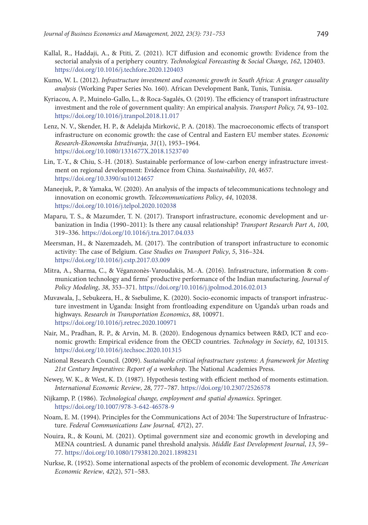- Kallal, R., Haddaji, A., & Ftiti, Z. (2021). ICT diffusion and economic growth: Evidence from the sectorial analysis of a periphery country. *Technological Forecasting* & *Social Change*, *162*, 120403. <https://doi.org/10.1016/j.techfore.2020.120403>
- Kumo, W. L. (2012). *Infrastructure investment and economic growth in South Africa: A granger causality analysis* (Working Paper Series No. 160). African Development Bank, Tunis, Tunisia.
- Kyriacou, A. P., Muinelo-Gallo, L., & Roca-Sagalés, O. (2019). The efficiency of transport infrastructure investment and the role of government quality: An empirical analysis. *Transport Policy, 74*, 93–102. <https://doi.org/10.1016/j.tranpol.2018.11.017>
- Lenz, N. V., Skender, H. P., & Adelajda Mirković, P. A. (2018). The macroeconomic effects of transport infrastructure on economic growth: the case of Central and Eastern EU member states. *Economic Research-Ekonomska Istraživanja*, *31*(1), 1953–1964. <https://doi.org/10.1080/1331677X.2018.1523740>
- Lin, T.-Y., & Chiu, S.-H. (2018). Sustainable performance of low-carbon energy infrastructure investment on regional development: Evidence from China. *Sustainability*, *10*, 4657. <https://doi.org/10.3390/su10124657>
- Maneejuk, P., & Yamaka, W. (2020). An analysis of the impacts of telecommunications technology and innovation on economic growth. *Telecommunications Policy*, *44*, 102038. <https://doi.org/10.1016/j.telpol.2020.102038>
- Maparu, T. S., & Mazumder, T. N. (2017). Transport infrastructure, economic development and urbanization in India (1990–2011): Is there any causal relationship? *Transport Research Part A*, *100*, 319–336. <https://doi.org/10.1016/j.tra.2017.04.033>
- Meersman, H., & Nazemzadeh, M. (2017). The contribution of transport infrastructure to economic activity: The case of Belgium. *Case Studies on Transport Policy*, *5*, 316–324. <https://doi.org/10.1016/j.cstp.2017.03.009>
- Mitra, A., Sharma, C., & Véganzonès-Varoudakis, M.-A. (2016). Infrastructure, information & communication technology and firms' productive performance of the Indian manufacturing. *Journal of Policy Modeling*, *38*, 353–371. <https://doi.org/10.1016/j.jpolmod.2016.02.013>
- Muvawala, J., Sebukeera, H., & Ssebulime, K. (2020). Socio-economic impacts of transport infrastructure investment in Uganda: Insight from frontloading expenditure on Uganda's urban roads and highways. *Research in Transportation Economics*, *88*, 100971. <https://doi.org/10.1016/j.retrec.2020.100971>
- Nair, M., Pradhan, R. P., & Arvin, M. B. (2020). Endogenous dynamics between R&D, ICT and economic growth: Empirical evidence from the OECD countries. *Technology in Society*, *62*, 101315. <https://doi.org/10.1016/j.techsoc.2020.101315>
- National Research Council. (2009). *Sustainable critical infrastructure systems: A framework for Meeting 21st Century Imperatives: Report of a workshop*. The National Academies Press.
- Newey, W. K., & West, K. D. (1987). Hypothesis testing with efficient method of moments estimation. *International Economic Review*, *28*, 777–787. <https://doi.org/10.2307/2526578>
- Nijkamp, P. (1986). *Technological change, employment and spatial dynamics*. Springer. <https://doi.org/10.1007/978-3-642-46578-9>
- Noam, E. M. (1994). Principles for the Communications Act of 2034: The Superstructure of Infrastructure. *Federal Communications Law Journal, 47*(2), 27.
- Nouira, R., & Kouni, M. (2021). Optimal government size and economic growth in developing and MENA countriesL A dunamic panel threshold analysis. *Middle East Development Journal*, *13*, 59– 77. <https://doi.org/10.1080/17938120.2021.1898231>
- Nurkse, R. (1952). Some international aspects of the problem of economic development. *The American Economic Review*, *42*(2), 571–583.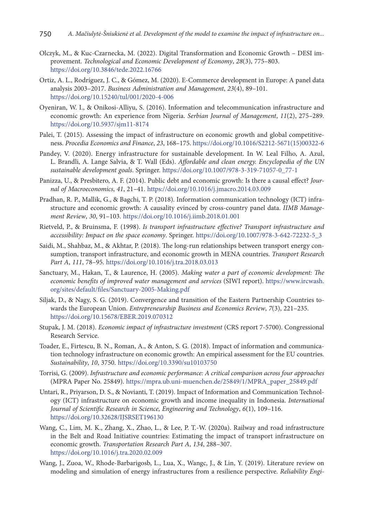- Olczyk, M., & Kuc-Czarnecka, M. (2022). Digital Transformation and Economic Growth DESI improvement. *Technological and Economic Development of Economy*, *28*(3), 775–803. <https://doi.org/10.3846/tede.2022.16766>
- Ortiz, A. L., Rodríguez, J. C., & Gómez, M. (2020). E-Commerce development in Europe: A panel data analysis 2003–2017. *Business Administration and Management*, *23*(4), 89–101. <https://doi.org/10.15240/tul/001/2020-4-006>
- Oyeniran, W. I., & Onikosi-Alliyu, S. (2016). Information and telecommunication infrastructure and economic growth: An experience from Nigeria. *Serbian Journal of Management*, *11*(2), 275–289. <https://doi.org/10.5937/sjm11-8174>
- Palei, T. (2015). Assessing the impact of infrastructure on economic growth and global competitiveness. *Procedia Economics and Finance*, *23*, 168–175. [https://doi.org/10.1016/S2212-5671\(15\)00322-6](https://doi.org/10.1016/S2212-5671(15)00322-6)
- Pandey, V. (2020). Energy infrastructure for sustainable development. In W. Leal Filho, A. Azul, L. Brandli, A. Lange Salvia, & T. Wall (Eds). *Affordable and clean energy. Encyclopedia of the UN sustainable development goals*. Springer. [https://doi.org/10.1007/978-3-319-71057-0\\_77-1](https://doi.org/10.1007/978-3-319-71057-0_77-1)
- Panizza, U., & Presbitero, A. F. (2014). Public debt and economic growth: Is there a causal effect? *Journal of Macroeconomics*, *41*, 21–41. <https://doi.org/10.1016/j.jmacro.2014.03.009>
- Pradhan, R. P., Mallik, G., & Bagchi, T. P. (2018). Information communication technology (ICT) infrastructure and economic growth: A causality evinced by cross-country panel data. *IIMB Management Review*, *30*, 91–103. <https://doi.org/10.1016/j.iimb.2018.01.001>
- Rietveld, P., & Bruinsma, F. (1998). *Is transport infrastructure effective? Transport infrastructure and accessibility: Impact on the space economy*. Springer. [https://doi.org/10.1007/978-3-642-72232-5\\_3](https://doi.org/10.1007/978-3-642-72232-5_3)
- Saidi, M., Shahbaz, M., & Akhtar, P. (2018). The long-run relationships between transport energy consumption, transport infrastructure, and economic growth in MENA countries. *Transport Research Part A*, *111*, 78–95. <https://doi.org/10.1016/j.tra.2018.03.013>
- Sanctuary, M., Hakan, T., & Laurence, H. (2005). *Making water a part of economic development: The economic benefits of improved water management and services* (SIWI report). [https://www.ircwash.](https://www.ircwash.org/sites/default/files/Sanctuary-2005-Making.pdf) [org/sites/default/files/Sanctuary-2005-Making.pdf](https://www.ircwash.org/sites/default/files/Sanctuary-2005-Making.pdf)
- Siljak, D., & Nagy, S. G. (2019). Convergence and transition of the Eastern Partnership Countries towards the European Union. *Entrepreneurship Business and Economics Review*, *7*(3), 221–235. <https://doi.org/10.15678/EBER.2019.070312>
- Stupak, J. M. (2018). *Economic impact of infrastructure investment* (CRS report 7-5700). Congressional Research Service.
- Toader, E., Firtescu, B. N., Roman, A., & Anton, S. G. (2018). Impact of information and communication technology infrastructure on economic growth: An empirical assessment for the EU countries. *Sustainability*, *10*, 3750. <https://doi.org/10.3390/su10103750>
- Torrisi, G. (2009). *Infrastructure and economic performance: A critical comparison across four approaches*  (MPRA Paper No. 25849). [https://mpra.ub.uni-muenchen.de/25849/1/MPRA\\_paper\\_25849.pdf](https://mpra.ub.uni-muenchen.de/25849/1/MPRA_paper_25849.pdf)
- Untari, R., Priyarson, D. S., & Novianti, T. (2019). Impact of Information and Communication Technology (ICT) infrastructure on economic growth and income inequality in Indonesia. *International Journal of Scientific Research in Science, Engineering and Technology*, *6*(1), 109–116. <https://doi.org/10.32628/IJSRSET196130>
- Wang, C., Lim, M. K., Zhang, X., Zhao, L., & Lee, P. T.-W. (2020a). Railway and road infrastructure in the Belt and Road Initiative countries: Estimating the impact of transport infrastructure on economic growth. *Transportation Research Part A*, *134*, 288–307. <https://doi.org/10.1016/j.tra.2020.02.009>
- Wang, J., Zuoa, W., Rhode-Barbarigosb, L., Lua, X., Wangc, J., & Lin, Y. (2019). Literature review on modeling and simulation of energy infrastructures from a resilience perspective. *Reliability Engi-*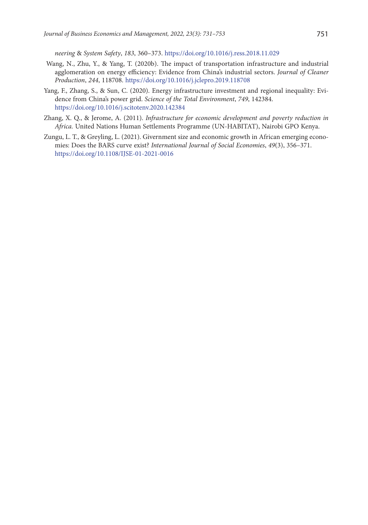*neering* & *System Safety*, *183*, 360–373. <https://doi.org/10.1016/j.ress.2018.11.029>

- Wang, N., Zhu, Y., & Yang, T. (2020b). The impact of transportation infrastructure and industrial agglomeration on energy efficiency: Evidence from China's industrial sectors. *Journal of Cleaner Production*, *244*, 118708. <https://doi.org/10.1016/j.jclepro.2019.118708>
- Yang, F., Zhang, S., & Sun, C. (2020). Energy infrastructure investment and regional inequality: Evidence from China's power grid. *Science of the Total Environment*, *749*, 142384. <https://doi.org/10.1016/j.scitotenv.2020.142384>
- Zhang, X. Q., & Jerome, A. (2011). *Infrastructure for economic development and poverty reduction in Africa.* United Nations Human Settlements Programme (UN-HABITAT), Nairobi GPO Kenya.
- Zungu, L. T., & Greyling, L. (2021). Givernment size and economic growth in African emerging economies: Does the BARS curve exist? *International Journal of Social Economies*, *49*(3), 356–371. <https://doi.org/10.1108/IJSE-01-2021-0016>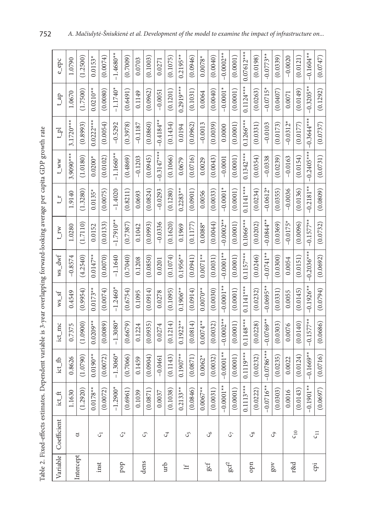Table 2. Fixed-effects estimates. Dependent variable is 3-year overlapping forward-looking average per capita GDP growth rate

|                        | Table 2. Fixed-effects estimates. Dependent variable is 3-year overlapping forward-looking average per capita GDP growth rate |                         |              |             |              |              |                 |                |              |                |                        |                      |
|------------------------|-------------------------------------------------------------------------------------------------------------------------------|-------------------------|--------------|-------------|--------------|--------------|-----------------|----------------|--------------|----------------|------------------------|----------------------|
| Variable               | Coefficient                                                                                                                   | $ict\_ft$               | $ict_{fb}$   | $ict_mmc$   | $ws\_sf$     | $ws\_dwf$    | $t_{\text{IV}}$ | $\overline{L}$ | $t_{WW}$     | $\mathbb{F}^1$ | $q_{\text{F}}^{-1}$    | $e$ <sup>-</sup> epc |
|                        |                                                                                                                               | 630<br>$\Xi$            | 0.8626       | 0.7375      | 0.4549       | $-0.8574$    | 1.0280          | 1.9140         | $3.9090***$  | $3.1720***$    | 1.0670                 | 1.0790               |
| Intercept              | ರ                                                                                                                             | 920)<br>(1.2)           | (1.0790)     | (1.0900)    | (0.9954)     | (4.2540)     | (1.7110)        | (1.3280)       | (1.0180)     | (0.8993)       | (1.7500)               | (1.2500)             |
|                        |                                                                                                                               | $.78**$<br>0.01         | $0.0190**$   | $0.0209**$  | $0.0173**$   | $0.0147**$   | 0.0152          | $0.0135*$      | $0.0200*$    | $0.0222***$    | $0.0210**$             | $0.0153*$            |
| inst                   | 5                                                                                                                             | (520)<br>(0.0)          | (0.0072)     | (0.0089)    | (0.0074)     | (0.0070)     | (0.0133)        | (0.0075)       | (0.0102)     | (0.0054)       | (0.0080)               | (0.0074)             |
|                        |                                                                                                                               | $-1.2900*$              | $-1.3060*$   | $-1.3080*$  | $-1.2460*$   | $-1.1640$    | $-1.7910**$     | $-1.4020$      | $-1.1660**$  | $-0.5292$      | $-1.1740*$             | $-1.4680**$          |
| dod                    | $\mathcal{C}^1$                                                                                                               | (0.6961)                | (0.7066)     | (0.6679)    | (0.6754)     | (0.7040)     | (0.7387)        | (0.8211)       | (0.4869)     | (0.3978)       | (0.6491)               | (0.7009)             |
| dens                   |                                                                                                                               | 039<br>$\overline{0}$ . | 0.1459       | 0.1224      | 0.1095       | 0.1208       | 0.1042          | 0.0693         | $-0.1203$    | $-0.1187$      | 0.1149                 | 0.0703               |
|                        | ς                                                                                                                             | (0.0871)                | (0.0904)     | (0.0935)    | (0.0914)     | (0.0850)     | (0.0993)        | (0.0824)       | (0.0945)     | (0.0860)       | (0.0962)               | (0.1003)             |
|                        |                                                                                                                               | 0.0037                  | $-0.0461$    | 0.0274      | 0.0278       | 0.0201       | $-0.0336$       | $-0.0293$      | $-0.3147***$ | $-0.4184**$    | $-0.0051$              | 0.0271               |
| urb                    | $\mathcal{C}^+$                                                                                                               | (38)<br>(0.1)           | (0.1143)     | (0.1214)    | (0.1095)     | (0.1074)     | (0.1620)        | (0.1280)       | (0.1066)     | (0.1434)       | (0.1201)               | (0.1075)             |
| $\equiv$               |                                                                                                                               | $33**$<br>0.21          | $0.1907**$   | $0.1922**$  | $0.1906**$   | $0.1956**$   | 0.1969          | $0.2283**$     | 0.0679       | 0.0194         | $0.2919**$             | $0.2195***$          |
|                        | S,                                                                                                                            | (0.0846)                | (0.0871)     | (0.0814)    | (0.0914)     | (0.0941)     | (0.1177)        | (0.0901)       | (0.0716)     | (0.0962)       | (0.1031)               | (0.0946)             |
|                        |                                                                                                                               | $0.0067**$              | $0.0062*$    | $0.0074***$ | $0.0070**$   | $0.0071**$   | $0.0088*$       | 0.0056         | 0.0029       | $-0.0013$      | 0.0064                 | $0.0078*$            |
| gcf                    | $\mathcal{C}_{6}$                                                                                                             | (0.0031)                | (0.0032)     | (0.0032)    | (0.0030)     | (0.0031)     | (0.0044)        | (0.0033)       | (0.0043)     | (0.0039)       | (0.0040)               | (0.0040)             |
|                        |                                                                                                                               | $-0.0001**$             | $-0.0001**$  | $-0.0002**$ | $-0.0001$ ** | $-0.0001**$  | $-0.0002**$     | $-0.0001*$     | $-0.0001$    | 0.0000         | $-0.0001*$             | $-0.0002**$          |
| $\operatorname{gcf}^2$ | C,                                                                                                                            | (0.0001)                | (0.0001)     | (0.0001)    | (0.0001)     | (0.0001)     | (0.0001)        | (0.0001)       | (0.0001)     | (0.0001)       | (0.0001)               | (0.0001)             |
|                        |                                                                                                                               | $13***$<br>0.11         | $0.1119***$  | $0.1148***$ | $0.1141***$  | $0.1157***$  | $0.1066***$     | $0.1141***$    | $0.1342***$  | $0.1266***$    | $0.1124***$            | $0.07612***$         |
| qpn                    | ್ಯ                                                                                                                            | (0.0222)                | (0.0232)     | (0.0228)    | (0.0232)     | (0.0246)     | (0.0202)        | (0.0234)       | (0.0354)     | (0.0331)       | (0.0263)               | (0.0198)             |
|                        |                                                                                                                               | $-0.0716**$             | $-0.0786***$ | $-0.0769**$ | $-0.0695**$  | $-0.0741**$  | $-0.0844**$     | $-0.0612*$     | $-0.0338$    | $-0.0103$      | $-0.0715$ <sup>*</sup> | $-0.0773**$          |
| $\lambda$              | وي                                                                                                                            | (0.0303)                | (0.0235)     | (0.0303)    | (0.0331)     | (0.0300)     | (0.0369)        | (0.0355)       | (0.0239)     | (0.0173)       | (0.0407)               | (0.0339)             |
| r&d                    |                                                                                                                               | 0.0016                  | 0.0022       | 0.0076      | 0.0055       | 0.0054       | $-0.0175$       | $-0.0036$      | $-0.0163$    | $-0.0312$      | 0.0071                 | $-0.0020$            |
|                        | $c_{10}$                                                                                                                      | (0.0143)                | (0.0124)     | (0.0140)    | (0.0145)     | (0.0151)     | (0.0096)        | (0.0136)       | (0.0154)     | (0.0177)       | (0.0149)               | (0.0121)             |
|                        |                                                                                                                               | $-0.1901**$             | $-0.1669**$  | $-0.1577**$ | $-0.1926**$  | $-0.2036***$ | $-0.1577**$     | $-0.2181**$    | $-0.2405***$ | $-0.3644***$   | $-0.3205**$            | $-0.1604**$          |
| ig                     | $\mathsf{c}_{11}$                                                                                                             | (0.0697)                | (0.0716)     | (0.0686)    | (0.0794)     | (0.0692)     | (0.0732)        | (0.0809)       | (0.0731)     | (0.0737)       | (0.1292)               | (0.0747)             |

r